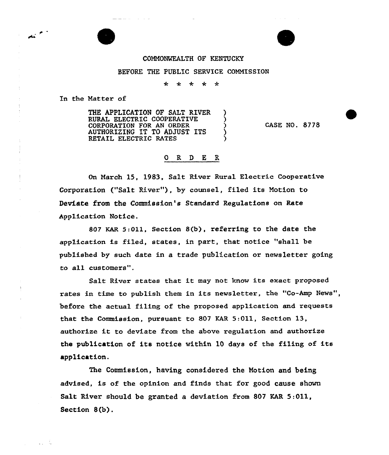## COMMONWEALTH OF KENTUCKY

## BEFORE THE PUBLIC SERVICE COMMISSION

 $\star$  $* *$  $\star$   $\star$ 

In the Matter of

 $\overrightarrow{A}$ 

 $\zeta_{\rm L} = \zeta_{\rm L}$ 

THE APPLICATION OF SALT RIVER )<br>RURAL ELECTRIC COOPERATIVE ) RURAL ELECTRIC COOPERATIVE )<br>CORPORATION FOR AN ORDER ) CORPORATION FOR AN ORDER AUTHORIZING IT TO ADJUST ITS ) RETAIL ELECTRIC RATES

CASE NO. 8778

## 0 R <sup>D</sup> E R

On March 15, 1983, Salt River Rural Electric Cooperative Corporation ("Salt River"), by counsel, filed its Motion to Deviate from the Commission's Standaxd Regulations on Rate Application Notice.

80? KAR 5:011, Section 8(b), xeferring to the date the application is filed, states, in part, that notice "shall be published by such date in a trade publication or newsletter going to all customers".

Salt River states that it may not know its exact proposed rates in time to publish them in its newsletter, the "Co-Amp News", before the actual filing of the proposed application and requests that the Commission, puxsuant to 807 EAR 5:Oll, Section 13, authorize it to deviate from the above regulation and authorize the publication of its notice within 10 days of the filing of its application.

The Commission, having considexed the Motion and being advised, is of the opinion and finds that for good cause shown Salt River should be granted a deviation from 807 KAR 5:011, Section  $8(b)$ .